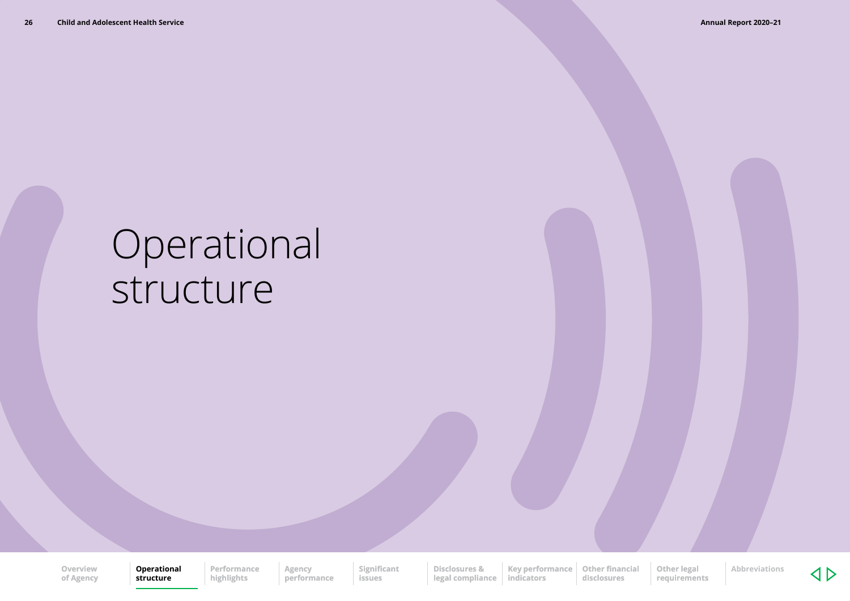# **Operational** structure

**Overview of Agency** **Operational structure**

**Performance highlights**

**Agency** 

**performance Significant issues**

**Disclosures & legal compliance Key performance indicators**

**Other financial disclosures**

**Other legal requirements**

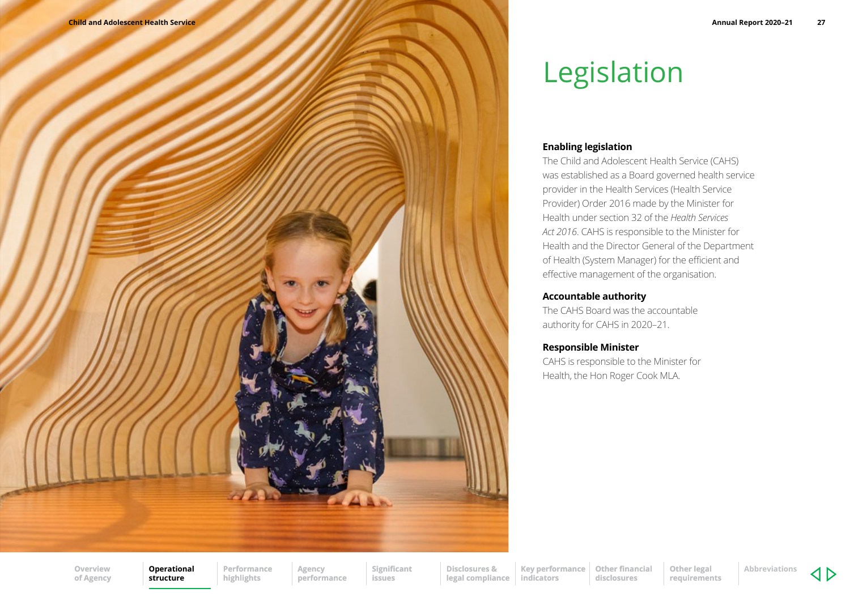# Legislation

#### **Enabling legislation**

The Child and Adolescent Health Service (CAHS) was established as a Board governed health service provider in the Health Services (Health Service Provider) Order 2016 made by the Minister for Health under section 32 of the *Health Services Act 2016*. CAHS is responsible to the Minister for Health and the Director General of the Department of Health (System Manager) for the efficient and effective management of the organisation.

#### **Accountable authority**

The CAHS Board was the accountable authority for CAHS in 2020–21.

#### **Responsible Minister**

CAHS is responsible to the Minister for Health, the Hon Roger Cook MLA.

**Overview of Agency** **Operational structure**

**Performance highlights**

**Agency performance issues**

**Significant** 

**Disclosures & legal compliance**

**Key performance indicators**

**Other financial disclosures Other legal requirements**

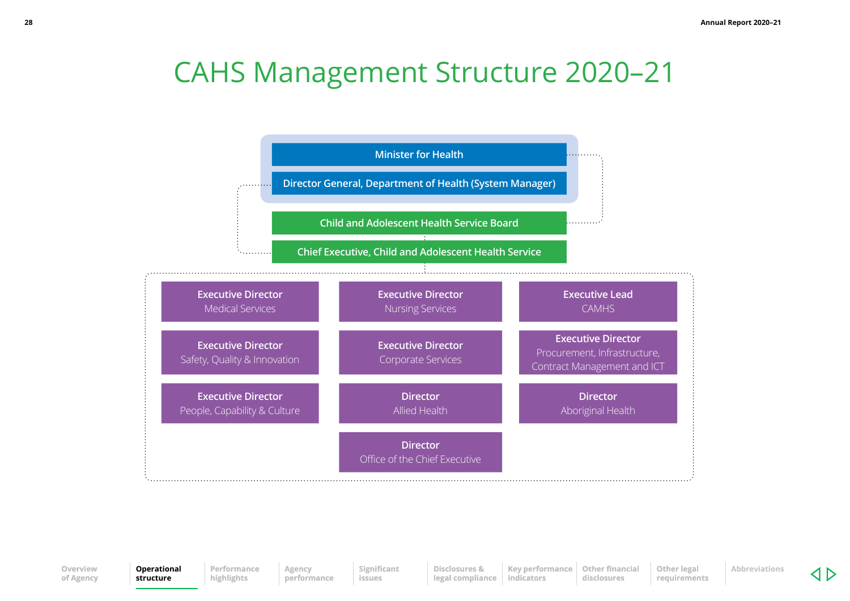### CAHS Management Structure 2020–21



**Overview of Agency** **Operational structure**

**Performance highlights**

**performance Significant issues**

**Agency** 

**Disclosures & legal compliance**

**indicators**

**Key performance Other financial disclosures**

**Other legal requirements**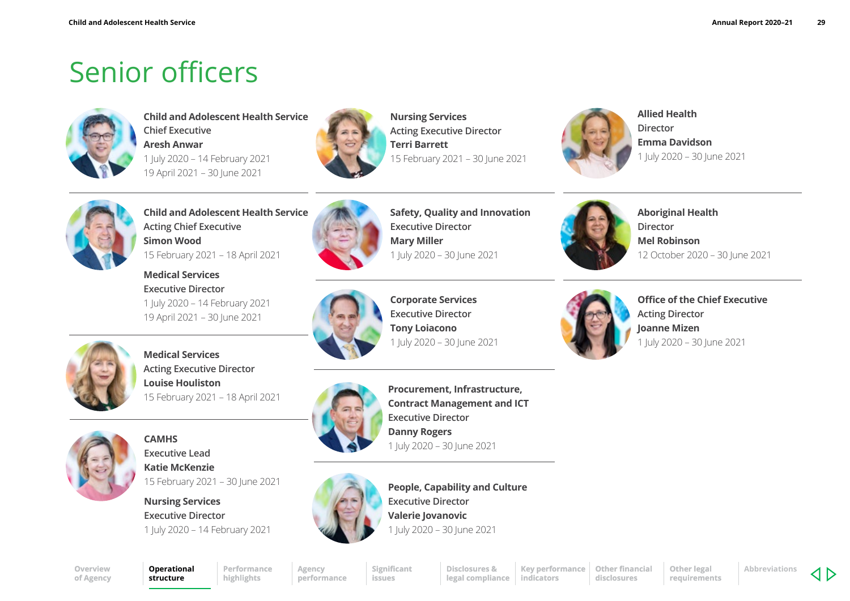## Senior officers



**Child and Adolescent Health Service Chief Executive Aresh Anwar** 1 July 2020 – 14 February 2021 19 April 2021 – 30 June 2021



**Nursing Services Acting Executive Director Terri Barrett** 15 February 2021 – 30 June 2021



**Allied Health Director Emma Davidson** 1 July 2020 – 30 June 2021

**Aboriginal Health**

**Director Mel Robinson**



**Child and Adolescent Health Service Acting Chief Executive Simon Wood** 15 February 2021 – 18 April 2021

**Medical Services Executive Director** 1 July 2020 – 14 February 2021 19 April 2021 – 30 June 2021

**Acting Executive Director**

15 February 2021 – 18 April 2021

15 February 2021 – 30 June 2021

1 July 2020 – 14 February 2021

**Medical Services**

**Louise Houliston**

**Executive Lead Katie McKenzie**

**Nursing Services Executive Director**

**CAMHS**



**Safety, Quality and Innovation Executive Director Mary Miller** 1 July 2020 – 30 June 2021



**Corporate Services Executive Director Tony Loiacono** 1 July 2020 – 30 June 2021



**Procurement, Infrastructure, Contract Management and ICT Executive Director Danny Rogers** 1 July 2020 – 30 June 2021



**People, Capability and Culture Executive Director Valerie Jovanovic** 1 July 2020 – 30 June 2021



**Overview of Agency**

**Operational structure**

**Performance highlights**

**Agency performance**

**Significant issues**

**Disclosures & legal compliance**

**Key performance indicators**

**Other financial disclosures Other legal requirements** **Abbreviations**

A D



**Office of the Chief Executive Acting Director Joanne Mizen** 1 July 2020 – 30 June 2021

12 October 2020 – 30 June 2021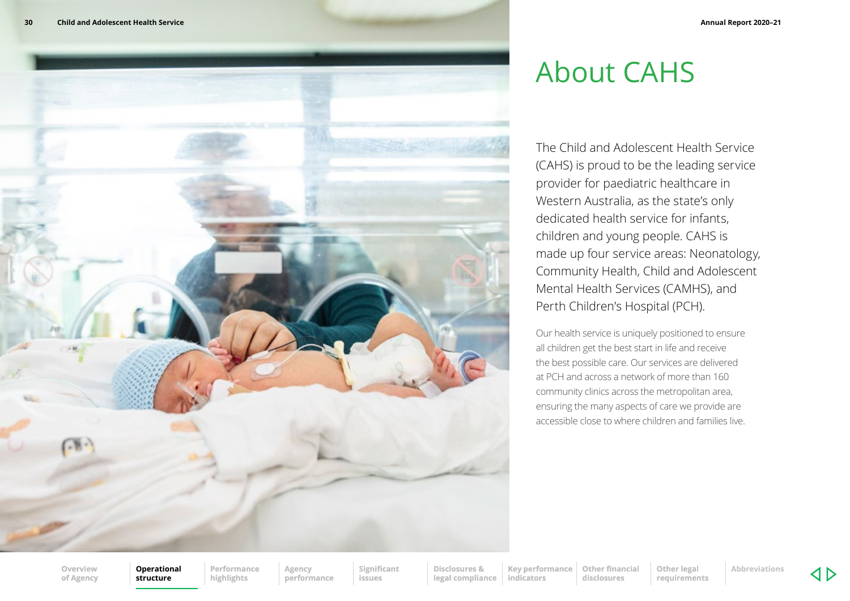

### About CAHS

The Child and Adolescent Health Service (CAHS) is proud to be the leading service provider for paediatric healthcare in Western Australia, as the state's only dedicated health service for infants, children and young people. CAHS is made up four service areas: Neonatology, Community Health, Child and Adolescent Mental Health Services (CAMHS), and Perth Children's Hospital (PCH).

Our health service is uniquely positioned to ensure all children get the best start in life and receive the best possible care. Our services are delivered at PCH and across a network of more than 160 community clinics across the metropolitan area, ensuring the many aspects of care we provide are accessible close to where children and families live.

**Overview of Agency** **Operational structure Performance highlights**

**performance Significant issues**

**Agency** 

**Disclosures & legal compliance**

**Key performance indicators**

**Other financial disclosures**

**Other legal requirements**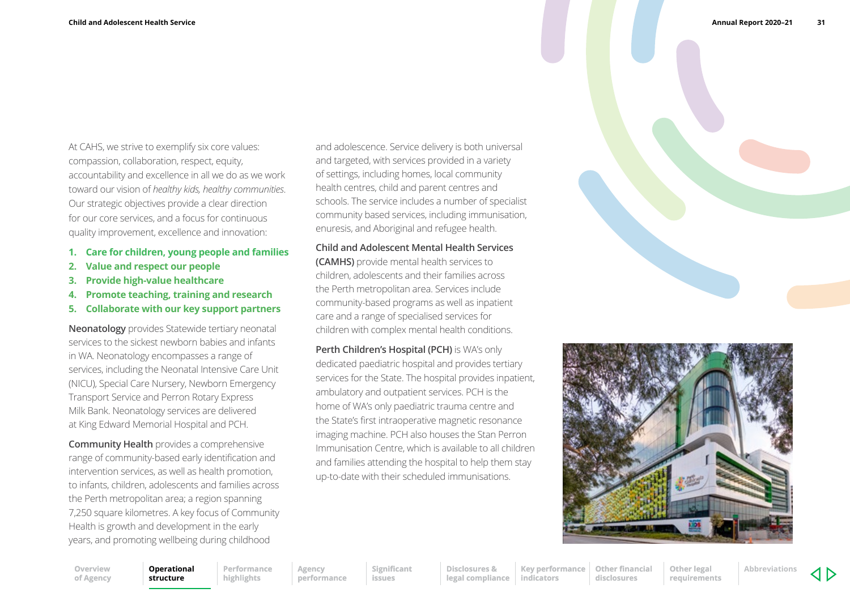At CAHS, we strive to exemplify six core values: compassion, collaboration, respect, equity, accountability and excellence in all we do as we work toward our vision of *healthy kids, healthy communities*. Our strategic objectives provide a clear direction for our core services, and a focus for continuous quality improvement, excellence and innovation:

- **1. Care for children, young people and families**
- **2. Value and respect our people**
- **3. Provide high-value healthcare**
- **4. Promote teaching, training and research**
- **5. Collaborate with our key support partners**

**Neonatology** provides Statewide tertiary neonatal services to the sickest newborn babies and infants in WA. Neonatology encompasses a range of services, including the Neonatal Intensive Care Unit (NICU), Special Care Nursery, Newborn Emergency Transport Service and Perron Rotary Express Milk Bank. Neonatology services are delivered at King Edward Memorial Hospital and PCH.

**Community Health** provides a comprehensive range of community-based early identification and intervention services, as well as health promotion, to infants, children, adolescents and families across the Perth metropolitan area; a region spanning 7,250 square kilometres. A key focus of Community Health is growth and development in the early years, and promoting wellbeing during childhood

and adolescence. Service delivery is both universal and targeted, with services provided in a variety of settings, including homes, local community health centres, child and parent centres and schools. The service includes a number of specialist community based services, including immunisation, enuresis, and Aboriginal and refugee health.

**Child and Adolescent Mental Health Services (CAMHS)** provide mental health services to children, adolescents and their families across the Perth metropolitan area. Services include community-based programs as well as inpatient care and a range of specialised services for children with complex mental health conditions.

**Perth Children's Hospital (PCH)** is WA's only dedicated paediatric hospital and provides tertiary services for the State. The hospital provides inpatient, ambulatory and outpatient services. PCH is the home of WA's only paediatric trauma centre and the State's first intraoperative magnetic resonance imaging machine. PCH also houses the Stan Perron Immunisation Centre, which is available to all children and families attending the hospital to help them stay up-to-date with their scheduled immunisations.



**Overview of Agency** **Operational structure Performance highlights**

**Agency performance** **Significant issues**

**Disclosures & legal compliance**

**Key performance indicators**

**Other financial disclosures Other legal requirements**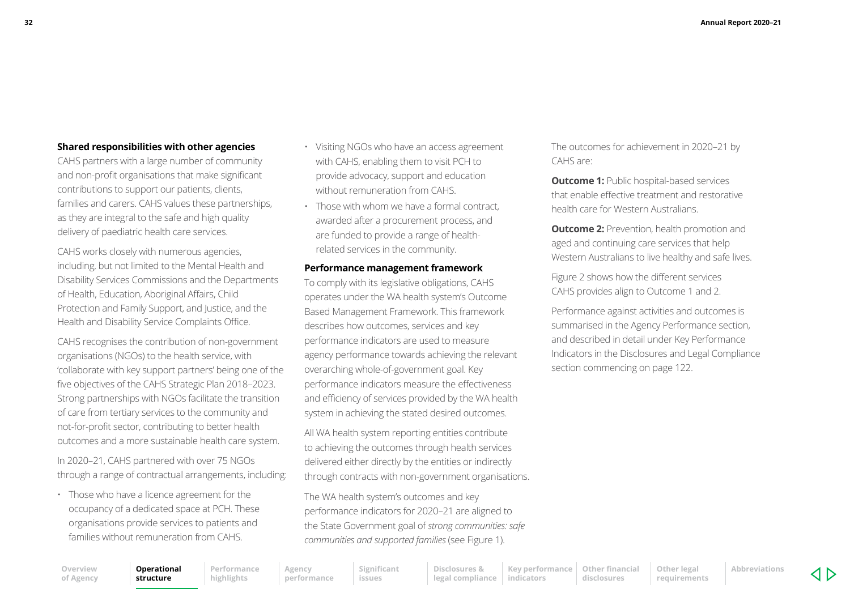#### **Shared responsibilities with other agencies**

CAHS partners with a large number of community and non-profit organisations that make significant contributions to support our patients, clients, families and carers. CAHS values these partnerships, as they are integral to the safe and high quality delivery of paediatric health care services.

CAHS works closely with numerous agencies, including, but not limited to the Mental Health and Disability Services Commissions and the Departments of Health, Education, Aboriginal Affairs, Child Protection and Family Support, and Justice, and the Health and Disability Service Complaints Office.

CAHS recognises the contribution of non-government organisations (NGOs) to the health service, with 'collaborate with key support partners' being one of the five objectives of the CAHS Strategic Plan 2018–2023. Strong partnerships with NGOs facilitate the transition of care from tertiary services to the community and not-for-profit sector, contributing to better health outcomes and a more sustainable health care system.

In 2020–21, CAHS partnered with over 75 NGOs through a range of contractual arrangements, including:

• Those who have a licence agreement for the occupancy of a dedicated space at PCH. These organisations provide services to patients and families without remuneration from CAHS.

- Visiting NGOs who have an access agreement with CAHS, enabling them to visit PCH to provide advocacy, support and education without remuneration from CAHS.
- Those with whom we have a formal contract, awarded after a procurement process, and are funded to provide a range of healthrelated services in the community.

#### **Performance management framework**

To comply with its legislative obligations, CAHS operates under the WA health system's Outcome Based Management Framework. This framework describes how outcomes, services and key performance indicators are used to measure agency performance towards achieving the relevant overarching whole-of-government goal. Key performance indicators measure the effectiveness and efficiency of services provided by the WA health system in achieving the stated desired outcomes.

All WA health system reporting entities contribute to achieving the outcomes through health services delivered either directly by the entities or indirectly through contracts with non-government organisations.

The WA health system's outcomes and key performance indicators for 2020–21 are aligned to the State Government goal of *strong communities: safe communities and supported families* (see Figure 1).

The outcomes for achievement in 2020–21 by CAHS are:

**Outcome 1:** Public hospital-based services that enable effective treatment and restorative health care for Western Australians.

**Outcome 2:** Prevention, health promotion and aged and continuing care services that help Western Australians to live healthy and safe lives.

Figure 2 shows how the different services CAHS provides align to Outcome 1 and 2.

Performance against activities and outcomes is summarised in the Agency Performance section, and described in detail under Key Performance Indicators in the Disclosures and Legal Compliance section commencing on page 122.

**Overview of Agency** **Significant issues**

**Disclosures & legal compliance**

**indicators**

**Key performance Other financial disclosures**

**Other legal requirements**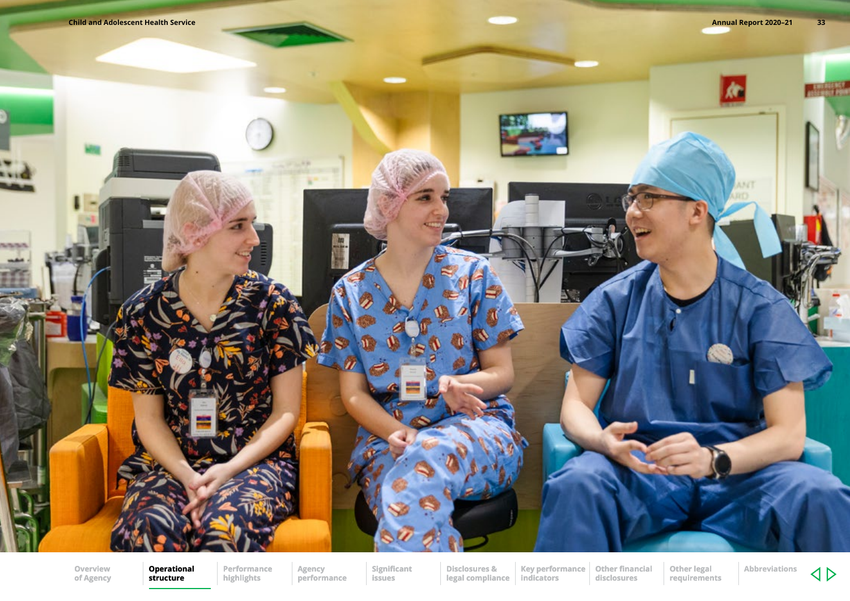IEDOGRAFY<br>Medici Primi

**Overview of Agency**

**Operational structure Performance highlights**

**performance Significant issues**

**Agency** 

**Disclosures & legal compliance**

**indicators**

**Key performance disclosures**

**Other financial Other legal requirements**

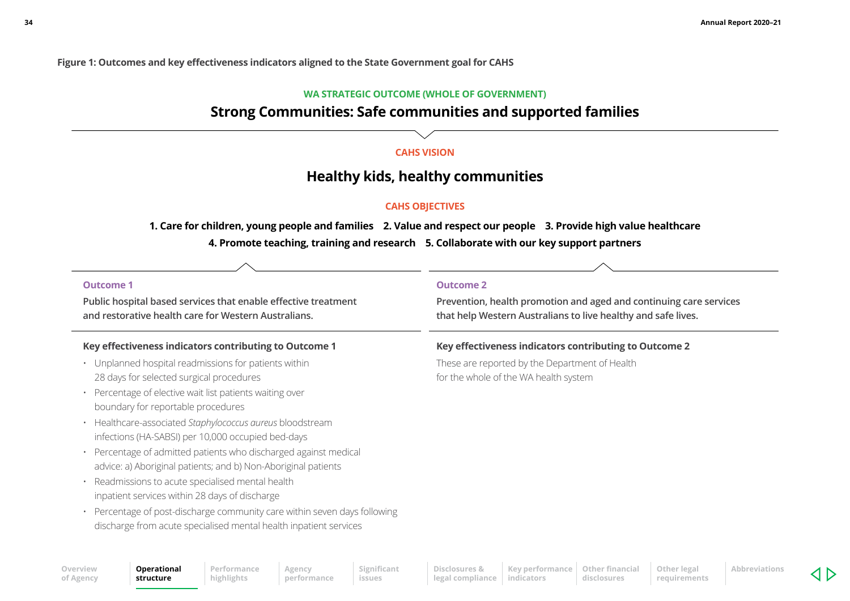**Figure 1: Outcomes and key effectiveness indicators aligned to the State Government goal for CAHS**

#### **WA STRATEGIC OUTCOME (WHOLE OF GOVERNMENT)**

### **Strong Communities: Safe communities and supported families**

#### **CAHS VISION**

### **Healthy kids, healthy communities**

#### **CAHS OBJECTIVES**

**1. Care for children, young people and families 2. Value and respect our people 3. Provide high value healthcare 4. Promote teaching, training and research 5. Collaborate with our key support partners**

|  |  | <b>Outcome 1</b> |  |
|--|--|------------------|--|
|  |  |                  |  |

**Public hospital based services that enable effective treatment and restorative health care for Western Australians.**

#### **Key effectiveness indicators contributing to Outcome 1**

- Unplanned hospital readmissions for patients within 28 days for selected surgical procedures
- Percentage of elective wait list patients waiting over boundary for reportable procedures
- Healthcare-associated *Staphylococcus aureus* bloodstream infections (HA-SABSI) per 10,000 occupied bed-days
- Percentage of admitted patients who discharged against medical advice: a) Aboriginal patients; and b) Non-Aboriginal patients
- Readmissions to acute specialised mental health inpatient services within 28 days of discharge
- Percentage of post-discharge community care within seven days following discharge from acute specialised mental health inpatient services

#### **Outcome 2**

**Prevention, health promotion and aged and continuing care services that help Western Australians to live healthy and safe lives.**

#### **Key effectiveness indicators contributing to Outcome 2**

These are reported by the Department of Health for the whole of the WA health system

**Disclosures & legal compliance**